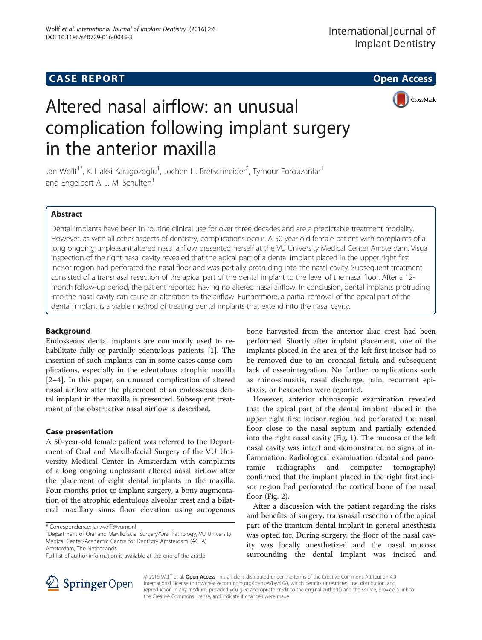# **CASE REPORT And SERVICE SERVICE SERVICE SERVICE SERVICE SERVICE SERVICE SERVICE SERVICE SERVICE SERVICE SERVICE**



# Altered nasal airflow: an unusual complication following implant surgery in the anterior maxilla

Jan Wolff<sup>1\*</sup>, K. Hakki Karagozoglu<sup>1</sup>, Jochen H. Bretschneider<sup>2</sup>, Tymour Forouzanfar<sup>1</sup> and Engelbert A. J. M. Schulten<sup>1</sup>

# Abstract

Dental implants have been in routine clinical use for over three decades and are a predictable treatment modality. However, as with all other aspects of dentistry, complications occur. A 50-year-old female patient with complaints of a long ongoing unpleasant altered nasal airflow presented herself at the VU University Medical Center Amsterdam. Visual inspection of the right nasal cavity revealed that the apical part of a dental implant placed in the upper right first incisor region had perforated the nasal floor and was partially protruding into the nasal cavity. Subsequent treatment consisted of a transnasal resection of the apical part of the dental implant to the level of the nasal floor. After a 12 month follow-up period, the patient reported having no altered nasal airflow. In conclusion, dental implants protruding into the nasal cavity can cause an alteration to the airflow. Furthermore, a partial removal of the apical part of the dental implant is a viable method of treating dental implants that extend into the nasal cavity.

## Background

Endosseous dental implants are commonly used to rehabilitate fully or partially edentulous patients [[1\]](#page-2-0). The insertion of such implants can in some cases cause complications, especially in the edentulous atrophic maxilla [[2](#page-2-0)–[4\]](#page-2-0). In this paper, an unusual complication of altered nasal airflow after the placement of an endosseous dental implant in the maxilla is presented. Subsequent treatment of the obstructive nasal airflow is described.

# Case presentation

A 50-year-old female patient was referred to the Department of Oral and Maxillofacial Surgery of the VU University Medical Center in Amsterdam with complaints of a long ongoing unpleasant altered nasal airflow after the placement of eight dental implants in the maxilla. Four months prior to implant surgery, a bony augmentation of the atrophic edentulous alveolar crest and a bilateral maxillary sinus floor elevation using autogenous

<sup>1</sup>Department of Oral and Maxillofacial Surgery/Oral Pathology, VU University Medical Center/Academic Centre for Dentistry Amsterdam (ACTA), Amsterdam, The Netherlands

bone harvested from the anterior iliac crest had been performed. Shortly after implant placement, one of the implants placed in the area of the left first incisor had to be removed due to an oronasal fistula and subsequent lack of osseointegration. No further complications such as rhino-sinusitis, nasal discharge, pain, recurrent epistaxis, or headaches were reported.

However, anterior rhinoscopic examination revealed that the apical part of the dental implant placed in the upper right first incisor region had perforated the nasal floor close to the nasal septum and partially extended into the right nasal cavity (Fig. [1](#page-1-0)). The mucosa of the left nasal cavity was intact and demonstrated no signs of inflammation. Radiological examination (dental and panoramic radiographs and computer tomography) confirmed that the implant placed in the right first incisor region had perforated the cortical bone of the nasal floor (Fig. [2\)](#page-1-0).

After a discussion with the patient regarding the risks and benefits of surgery, transnasal resection of the apical part of the titanium dental implant in general anesthesia was opted for. During surgery, the floor of the nasal cavity was locally anesthetized and the nasal mucosa surrounding the dental implant was incised and



© 2016 Wolff et al. Open Access This article is distributed under the terms of the Creative Commons Attribution 4.0 International License ([http://creativecommons.org/licenses/by/4.0/\)](http://creativecommons.org/licenses/by/4.0/), which permits unrestricted use, distribution, and reproduction in any medium, provided you give appropriate credit to the original author(s) and the source, provide a link to the Creative Commons license, and indicate if changes were made.

<sup>\*</sup> Correspondence: [jan.wolff@vumc.nl](mailto:jan.wolff@vumc.nl) <sup>1</sup>

Full list of author information is available at the end of the article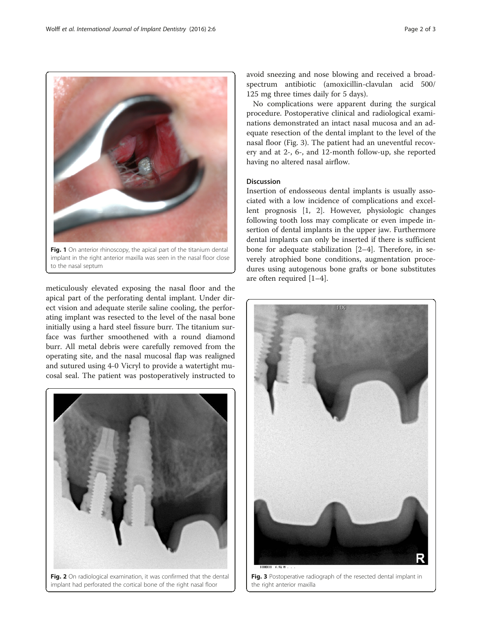<span id="page-1-0"></span>

Fig. 1 On anterior rhinoscopy, the apical part of the titanium dental implant in the right anterior maxilla was seen in the nasal floor close to the nasal septum

meticulously elevated exposing the nasal floor and the apical part of the perforating dental implant. Under direct vision and adequate sterile saline cooling, the perforating implant was resected to the level of the nasal bone initially using a hard steel fissure burr. The titanium surface was further smoothened with a round diamond burr. All metal debris were carefully removed from the operating site, and the nasal mucosal flap was realigned and sutured using 4-0 Vicryl to provide a watertight mucosal seal. The patient was postoperatively instructed to



avoid sneezing and nose blowing and received a broadspectrum antibiotic (amoxicillin-clavulan acid 500/ 125 mg three times daily for 5 days).

No complications were apparent during the surgical procedure. Postoperative clinical and radiological examinations demonstrated an intact nasal mucosa and an adequate resection of the dental implant to the level of the nasal floor (Fig. 3). The patient had an uneventful recovery and at 2-, 6-, and 12-month follow-up, she reported having no altered nasal airflow.

## Discussion

Insertion of endosseous dental implants is usually associated with a low incidence of complications and excellent prognosis [[1, 2\]](#page-2-0). However, physiologic changes following tooth loss may complicate or even impede insertion of dental implants in the upper jaw. Furthermore dental implants can only be inserted if there is sufficient bone for adequate stabilization [\[2](#page-2-0)–[4](#page-2-0)]. Therefore, in severely atrophied bone conditions, augmentation procedures using autogenous bone grafts or bone substitutes are often required [[1](#page-2-0)–[4](#page-2-0)].



Fig. 3 Postoperative radiograph of the resected dental implant in the right anterior maxilla